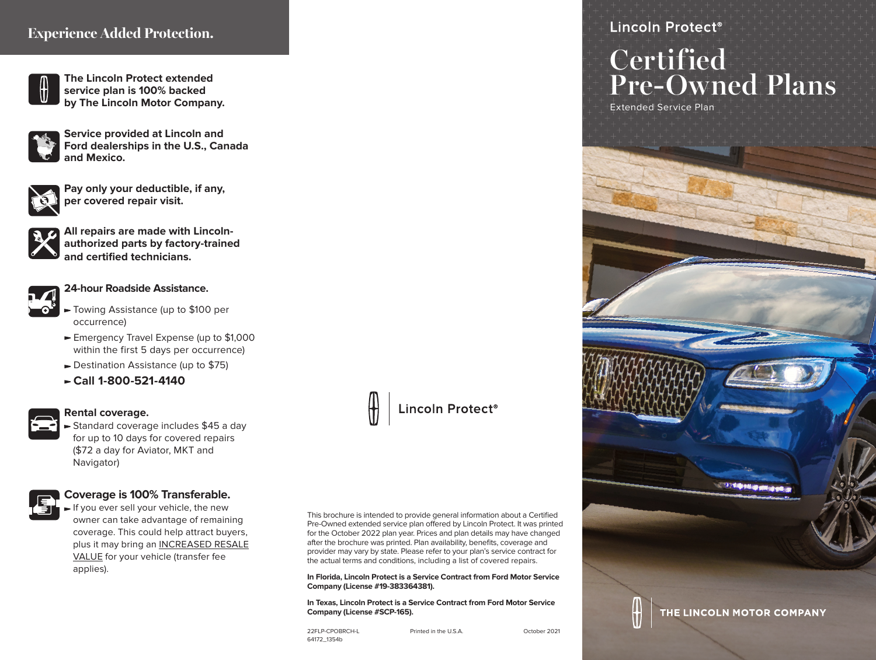# **Experience Added Protection.**



**The Lincoln Protect extended service plan is 100% backed by The Lincoln Motor Company.**



**Service provided at Lincoln and Ford dealerships in the U.S., Canada and Mexico.**



**Pay only your deductible, if any, per covered repair visit.**

**All repairs are made with Lincolnauthorized parts by factory-trained and certified technicians.**



#### **24-hour Roadside Assistance.**

- Towing Assistance (up to \$100 per occurrence)
- ► Emergency Travel Expense (up to \$1,000 within the first 5 days per occurrence)
- ► Destination Assistance (up to \$75)
- **Call 1-800-521-4140**



#### **Rental coverage.**

Standard coverage includes \$45 a day for up to 10 days for covered repairs (\$72 a day for Aviator, MKT and Navigator)

#### **Coverage is 100% Transferable.**

If you ever sell your vehicle, the new owner can take advantage of remaining coverage. This could help attract buyers, plus it may bring an INCREASED RESALE VALUE for your vehicle (transfer fee applies).



This brochure is intended to provide general information about a Certified Pre-Owned extended service plan offered by Lincoln Protect. It was printed for the October 2022 plan year. Prices and plan details may have changed after the brochure was printed. Plan availability, benefits, coverage and provider may vary by state. Please refer to your plan's service contract for the actual terms and conditions, including a list of covered repairs.

**In Florida, Lincoln Protect is a Service Contract from Ford Motor Service Company (License #19-383364381).**

**In Texas, Lincoln Protect is a Service Contract from Ford Motor Service Company (License #SCP-165).**

22FLP-CPOBRCH-L Printed in the U.S.A. October 2021 64172\_1354b

Lincoln Protect<sup>®</sup>

# **Certified Pre-Owned Plans**

Extended Service Plan